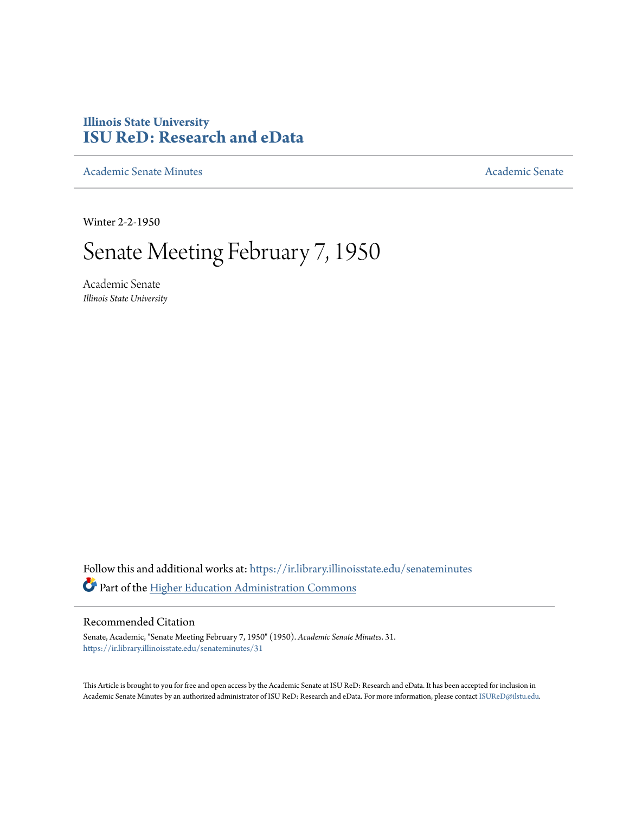## **Illinois State University [ISU ReD: Research and eData](https://ir.library.illinoisstate.edu?utm_source=ir.library.illinoisstate.edu%2Fsenateminutes%2F31&utm_medium=PDF&utm_campaign=PDFCoverPages)**

[Academic Senate Minutes](https://ir.library.illinoisstate.edu/senateminutes?utm_source=ir.library.illinoisstate.edu%2Fsenateminutes%2F31&utm_medium=PDF&utm_campaign=PDFCoverPages) [Academic Senate](https://ir.library.illinoisstate.edu/senate?utm_source=ir.library.illinoisstate.edu%2Fsenateminutes%2F31&utm_medium=PDF&utm_campaign=PDFCoverPages) Academic Senate

Winter 2-2-1950

## Senate Meeting February 7, 1950

Academic Senate *Illinois State University*

Follow this and additional works at: [https://ir.library.illinoisstate.edu/senateminutes](https://ir.library.illinoisstate.edu/senateminutes?utm_source=ir.library.illinoisstate.edu%2Fsenateminutes%2F31&utm_medium=PDF&utm_campaign=PDFCoverPages) Part of the [Higher Education Administration Commons](http://network.bepress.com/hgg/discipline/791?utm_source=ir.library.illinoisstate.edu%2Fsenateminutes%2F31&utm_medium=PDF&utm_campaign=PDFCoverPages)

## Recommended Citation

Senate, Academic, "Senate Meeting February 7, 1950" (1950). *Academic Senate Minutes*. 31. [https://ir.library.illinoisstate.edu/senateminutes/31](https://ir.library.illinoisstate.edu/senateminutes/31?utm_source=ir.library.illinoisstate.edu%2Fsenateminutes%2F31&utm_medium=PDF&utm_campaign=PDFCoverPages)

This Article is brought to you for free and open access by the Academic Senate at ISU ReD: Research and eData. It has been accepted for inclusion in Academic Senate Minutes by an authorized administrator of ISU ReD: Research and eData. For more information, please contact [ISUReD@ilstu.edu.](mailto:ISUReD@ilstu.edu)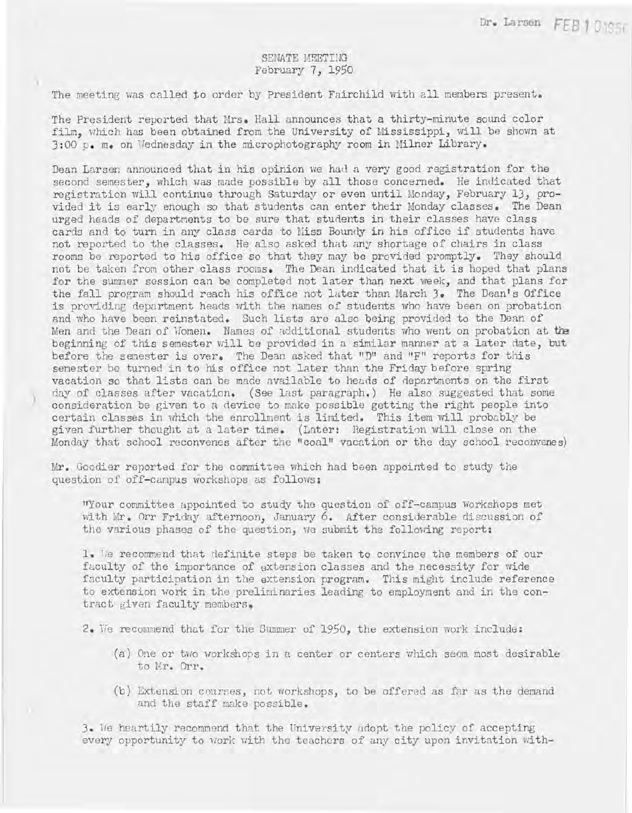## SENATE MEETIHG February 7, 1950

The meeting was called to order by President Fairchild with all members present.

The President reported that Mrs. Hall announces that a thirty-minute sound color film, which has been obtained from the University of Mississippi, will be shown at 3:00 p. m. on Wednesday in the microphotography room in Milner Library.

Dean Larsen announced that in his opinion we had a very good registration for the second semester, which was made possible by all those concerned. He indicated that registration will continue through Saturday or even until Monday, February 13, provided it is early enough so that students can enter their Monday classes. The Dean urged heads of departments to be sure that students in their classes have class cards and to turn in any class cards to Miss Boundy in his office if students have not reported to the classes. He also asked that any shortage of chairs in class rooms be reported to his office so that they may be provided promptly. They should not be taken from other class rooms. The Dean indicated that it is hoped that plans for the summer session can be completed not later than next week, and that plans for the fall program should reach his office not later than March 3. The Dean's Office is providing department heads with the names of students who have been on probation and who have been reinstated. Such lists are also being provided to the Dean of Men and the Dean of Women. Names of additional students who went on probation at the beginning of this semester will be provided in a similar manner at a later date, but before the semester is over. The Dean asked that "D" and "F" reports for this senester be turned in to his office not later than the Friday before spring vacation so that lists can be made available to heads of departments on the first day of classes after vacation. (See last paragraph.) He also suggested that some consideration be given to a device to make possible getting the right people into certain classes in which the enrollment is limited. This item will probably be given further thought at a later time. (Lnter: Hegistration will close on the Monday that school reconvenes after the "coal!' vacation or the day school reconvenes)

Mr. Goodier reported for the committee which had been appointed to study the question of off-campus workshops as follows:

)

"Your committee appointed to study the question of off-campus Workshops met with Mr. Orr Friday afternoon, January 6. After considerable discussion of the various phases of the question, we submit the following report:

1. 'is recommend that definite steps be taken to convince the members of our faculty of the importance of extension classes and the necessity for wide faculty participation in the extension program. This might include reference to extension work in the preliminaries leading to employment and in the contract given faculty members,

2. We recommend that for the Summer of 1950, the extension work include:

- $(a)$  One or two workshops in a center or centers which seem most desirable to Hr. Orr.
- (b) Extension courses, not workshops, to be offered as far as the demand and the staff make possible.

3. We heartily recommend that the University adopt the policy of accepting every opportunity to work with the teachers of any city upon invitation with